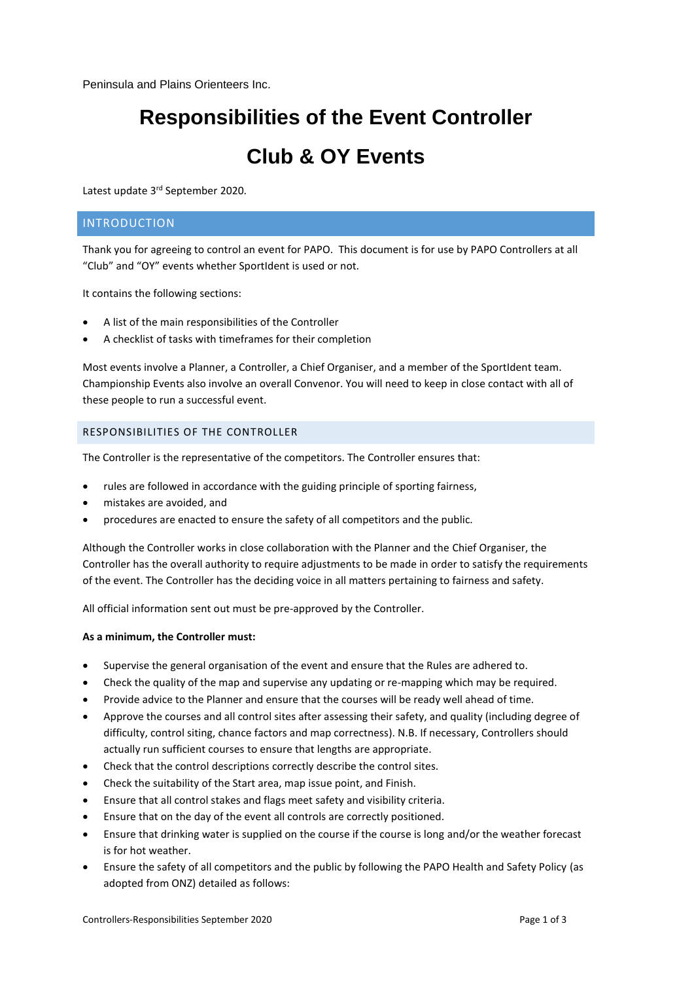Peninsula and Plains Orienteers Inc.

# **Responsibilities of the Event Controller Club & OY Events**

Latest update 3<sup>rd</sup> September 2020.

## INTRODUCTION

Thank you for agreeing to control an event for PAPO. This document is for use by PAPO Controllers at all "Club" and "OY" events whether SportIdent is used or not.

It contains the following sections:

- A list of the main responsibilities of the Controller
- A checklist of tasks with timeframes for their completion

Most events involve a Planner, a Controller, a Chief Organiser, and a member of the SportIdent team. Championship Events also involve an overall Convenor. You will need to keep in close contact with all of these people to run a successful event.

#### RESPONSIBILITIES OF THE CONTROLLER

The Controller is the representative of the competitors. The Controller ensures that:

- rules are followed in accordance with the guiding principle of sporting fairness,
- mistakes are avoided, and
- procedures are enacted to ensure the safety of all competitors and the public.

Although the Controller works in close collaboration with the Planner and the Chief Organiser, the Controller has the overall authority to require adjustments to be made in order to satisfy the requirements of the event. The Controller has the deciding voice in all matters pertaining to fairness and safety.

All official information sent out must be pre-approved by the Controller.

#### **As a minimum, the Controller must:**

- Supervise the general organisation of the event and ensure that the Rules are adhered to.
- Check the quality of the map and supervise any updating or re-mapping which may be required.
- Provide advice to the Planner and ensure that the courses will be ready well ahead of time.
- Approve the courses and all control sites after assessing their safety, and quality (including degree of difficulty, control siting, chance factors and map correctness). N.B. If necessary, Controllers should actually run sufficient courses to ensure that lengths are appropriate.
- Check that the control descriptions correctly describe the control sites.
- Check the suitability of the Start area, map issue point, and Finish.
- Ensure that all control stakes and flags meet safety and visibility criteria.
- Ensure that on the day of the event all controls are correctly positioned.
- Ensure that drinking water is supplied on the course if the course is long and/or the weather forecast is for hot weather.
- Ensure the safety of all competitors and the public by following the PAPO Health and Safety Policy (as adopted from ONZ) detailed as follows: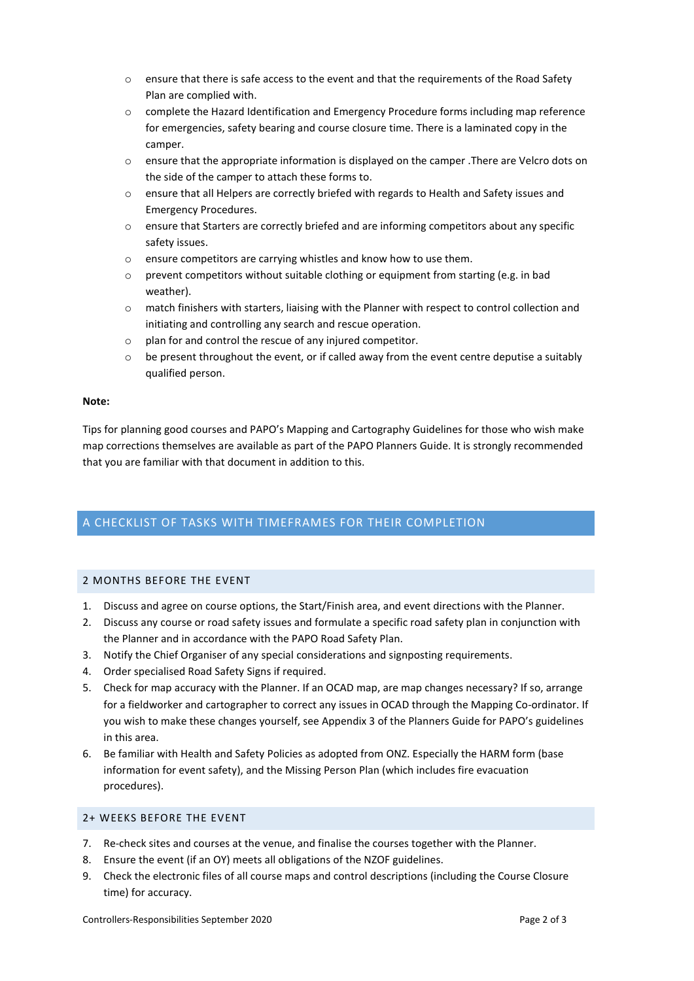- o ensure that there is safe access to the event and that the requirements of the Road Safety Plan are complied with.
- o complete the Hazard Identification and Emergency Procedure forms including map reference for emergencies, safety bearing and course closure time. There is a laminated copy in the camper.
- $\circ$  ensure that the appropriate information is displayed on the camper . There are Velcro dots on the side of the camper to attach these forms to.
- o ensure that all Helpers are correctly briefed with regards to Health and Safety issues and Emergency Procedures.
- $\circ$  ensure that Starters are correctly briefed and are informing competitors about any specific safety issues.
- o ensure competitors are carrying whistles and know how to use them.
- o prevent competitors without suitable clothing or equipment from starting (e.g. in bad weather).
- o match finishers with starters, liaising with the Planner with respect to control collection and initiating and controlling any search and rescue operation.
- $\circ$  plan for and control the rescue of any injured competitor.
- $\circ$  be present throughout the event, or if called away from the event centre deputise a suitably qualified person.

#### **Note:**

Tips for planning good courses and PAPO's Mapping and Cartography Guidelines for those who wish make map corrections themselves are available as part of the PAPO Planners Guide. It is strongly recommended that you are familiar with that document in addition to this.

## A CHECKLIST OF TASKS WITH TIMEFRAMES FOR THEIR COMPLETION

## 2 MONTHS BEFORE THE EVENT

- 1. Discuss and agree on course options, the Start/Finish area, and event directions with the Planner.
- 2. Discuss any course or road safety issues and formulate a specific road safety plan in conjunction with the Planner and in accordance with the PAPO Road Safety Plan.
- 3. Notify the Chief Organiser of any special considerations and signposting requirements.
- 4. Order specialised Road Safety Signs if required.
- 5. Check for map accuracy with the Planner. If an OCAD map, are map changes necessary? If so, arrange for a fieldworker and cartographer to correct any issues in OCAD through the Mapping Co-ordinator. If you wish to make these changes yourself, see Appendix 3 of the Planners Guide for PAPO's guidelines in this area.
- 6. Be familiar with Health and Safety Policies as adopted from ONZ. Especially the HARM form (base information for event safety), and the Missing Person Plan (which includes fire evacuation procedures).

#### 2+ WEEKS BEFORE THE EVENT

- 7. Re-check sites and courses at the venue, and finalise the courses together with the Planner.
- 8. Ensure the event (if an OY) meets all obligations of the NZOF guidelines.
- 9. Check the electronic files of all course maps and control descriptions (including the Course Closure time) for accuracy.